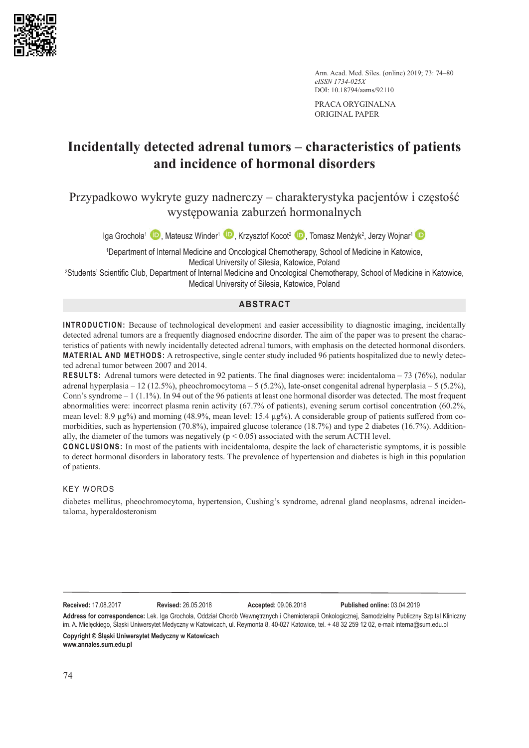

Ann. Acad. Med. Siles. (online) 2019; 73: 74–80 *eISSN 1734-025X* DOI: 10.18794/aams/92110

PRACA ORYGINALNA ORIGINAL PAPER

## **Incidentally detected adrenal tumors – characteristics of patients and incidence of hormonal disorders**

Przypadkowo wykryte guzy nadnerczy – charakterystyka pacjentów i częstość występowania zaburzeń hormonalnych

Iga Grochoła<sup>1</sup> (D)[,](http://orcid.org/0000-0003-2279-5409) Mateusz Winder<sup>1</sup> (D), Krzysztof Kocot<sup>2</sup> (D), Tomasz Menżyk<sup>2</sup>, Jerzy Wojnar<sup>1</sup>

1 Department of Internal Medicine and Oncological Chemotherapy, School of Medicine in Katowice, Medical University of Silesia, Katowice, Poland

2 Students' Scientific Club, Department of Internal Medicine and Oncological Chemotherapy, School of Medicine in Katowice, Medical University of Silesia, Katowice, Poland

## **ABSTRACT**

**INTRODUCTION:** Because of technological development and easier accessibility to diagnostic imaging, incidentally detected adrenal tumors are a frequently diagnosed endocrine disorder. The aim of the paper was to present the characteristics of patients with newly incidentally detected adrenal tumors, with emphasis on the detected hormonal disorders. **MATERIAL AND METHODS:** A retrospective, single center study included 96 patients hospitalized due to newly detected adrenal tumor between 2007 and 2014.

**RESULTS:** Adrenal tumors were detected in 92 patients. The final diagnoses were: incidentaloma – 73 (76%), nodular adrenal hyperplasia – 12 (12.5%), pheochromocytoma – 5 (5.2%), late-onset congenital adrenal hyperplasia – 5 (5.2%), Conn's syndrome  $-1$  (1.1%). In 94 out of the 96 patients at least one hormonal disorder was detected. The most frequent abnormalities were: incorrect plasma renin activity (67.7% of patients), evening serum cortisol concentration (60.2%, mean level:  $8.9 \mu$ g%) and morning (48.9%, mean level:  $15.4 \mu$ g%). A considerable group of patients suffered from comorbidities, such as hypertension (70.8%), impaired glucose tolerance (18.7%) and type 2 diabetes (16.7%). Additionally, the diameter of the tumors was negatively ( $p < 0.05$ ) associated with the serum ACTH level.

**CONCLUSIONS:** In most of the patients with incidentaloma, despite the lack of characteristic symptoms, it is possible to detect hormonal disorders in laboratory tests. The prevalence of hypertension and diabetes is high in this population of patients.

## KEY WORDS

diabetes mellitus, pheochromocytoma, hypertension, Cushing's syndrome, adrenal gland neoplasms, adrenal incidentaloma, hyperaldosteronism

**Received:** 17.08.2017 **Revised:** 26.05.2018 **Accepted:** 09.06.2018 **Published online:** 03.04.2019

**Address for correspondence:** Lek. Iga Grochoła, Oddział Chorób Wewnętrznych i Chemioterapii Onkologicznej, Samodzielny Publiczny Szpital Kliniczny im. A. Mielęckiego, Śląski Uniwersytet Medyczny w Katowicach, ul. Reymonta 8, 40-027 Katowice, tel. + 48 32 259 12 02, e-mail: intern[a@sum.](mailto:broszak@sum.edu.pl)edu.pl **Copyright © Śląski Uniwersytet Medyczny w Katowicach www.annales.sum.edu.pl**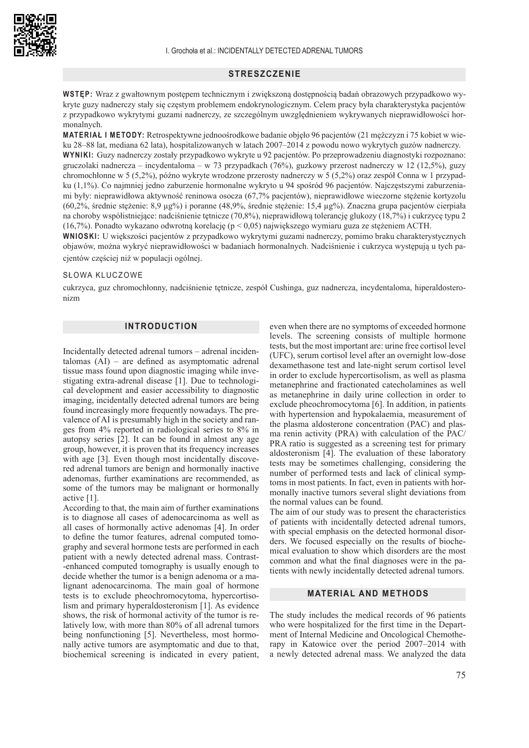#### **STRESZCZENIE**

**WSTĘP:** Wraz z gwałtownym postępem technicznym i zwiększoną dostępnością badań obrazowych przypadkowo wykryte guzy nadnerczy stały się częstym problemem endokrynologicznym. Celem pracy była charakterystyka pacjentów z przypadkowo wykrytymi guzami nadnerczy, ze szczególnym uwzględnieniem wykrywanych nieprawidłowości hormonalnych.

**MATERIAŁ I METODY:** Retrospektywne jednoośrodkowe badanie objęło 96 pacjentów (21 mężczyzn i 75 kobiet w wieku 28–88 lat, mediana 62 lata), hospitalizowanych w latach 2007–2014 z powodu nowo wykrytych guzów nadnerczy. **WYNIKI:** Guzy nadnerczy zostały przypadkowo wykryte u 92 pacjentów. Po przeprowadzeniu diagnostyki rozpoznano: gruczolaki nadnercza – incydentaloma – w 73 przypadkach (76%), guzkowy przerost nadnerczy w 12 (12,5%), guzy chromochłonne w 5 (5,2%), późno wykryte wrodzone przerosty nadnerczy w 5 (5,2%) oraz zespół Conna w 1 przypadku (1,1%). Co najmniej jedno zaburzenie hormonalne wykryto u 94 spośród 96 pacjentów. Najczęstszymi zaburzeniami były: nieprawidłowa aktywność reninowa osocza (67,7% pacjentów), nieprawidłowe wieczorne stężenie kortyzolu (60,2%, średnie stężenie: 8,9 µg%) i poranne (48,9%, średnie stężenie: 15,4 µg%). Znaczna grupa pacjentów cierpiała na choroby współistniejące: nadciśnienie tętnicze (70,8%), nieprawidłową tolerancję glukozy (18,7%) i cukrzycę typu 2 (16,7%). Ponadto wykazano odwrotną korelację (p < 0,05) największego wymiaru guza ze stężeniem ACTH.

**WNIOSKI:** U większości pacjentów z przypadkowo wykrytymi guzami nadnerczy, pomimo braku charakterystycznych objawów, można wykryć nieprawidłowości w badaniach hormonalnych. Nadciśnienie i cukrzyca występują u tych pacjentów częściej niż w populacji ogólnej.

#### SŁOWA KLUCZOWE

cukrzyca, guz chromochłonny, nadciśnienie tetnicze, zespół Cushinga, guz nadnercza, incydentaloma, hiperaldosteronizm

## **INTRODUCTION**

Incidentally detected adrenal tumors – adrenal incidentalomas (AI) – are defined as asymptomatic adrenal tissue mass found upon diagnostic imaging while investigating extra-adrenal disease [1]. Due to technological development and easier accessibility to diagnostic imaging, incidentally detected adrenal tumors are being found increasingly more frequently nowadays. The prevalence of AI is presumably high in the society and ranges from 4% reported in radiological series to 8% in autopsy series [2]. It can be found in almost any age group, however, it is proven that its frequency increases with age [3]. Even though most incidentally discovered adrenal tumors are benign and hormonally inactive adenomas, further examinations are recommended, as some of the tumors may be malignant or hormonally active [1].

According to that, the main aim of further examinations is to diagnose all cases of adenocarcinoma as well as all cases of hormonally active adenomas [4]. In order to define the tumor features, adrenal computed tomography and several hormone tests are performed in each patient with a newly detected adrenal mass. Contrast- -enhanced computed tomography is usually enough to decide whether the tumor is a benign adenoma or a malignant adenocarcinoma. The main goal of hormone tests is to exclude pheochromocytoma, hypercortisolism and primary hyperaldosteronism [1]. As evidence shows, the risk of hormonal activity of the tumor is relatively low, with more than 80% of all adrenal tumors being nonfunctioning [5]. Nevertheless, most hormonally active tumors are asymptomatic and due to that, biochemical screening is indicated in every patient,

even when there are no symptoms of exceeded hormone levels. The screening consists of multiple hormone tests, but the most important are: urine free cortisol level (UFC), serum cortisol level after an overnight low-dose dexamethasone test and late-night serum cortisol level in order to exclude hypercortisolism, as well as plasma metanephrine and fractionated catecholamines as well as metanephrine in daily urine collection in order to exclude pheochromocytoma [6]. In addition, in patients with hypertension and hypokalaemia, measurement of the plasma aldosterone concentration (PAC) and plasma renin activity (PRA) with calculation of the PAC/ PRA ratio is suggested as a screening test for primary aldosteronism [4]. The evaluation of these laboratory tests may be sometimes challenging, considering the number of performed tests and lack of clinical symptoms in most patients. In fact, even in patients with hormonally inactive tumors several slight deviations from the normal values can be found.

The aim of our study was to present the characteristics of patients with incidentally detected adrenal tumors, with special emphasis on the detected hormonal disorders. We focused especially on the results of biochemical evaluation to show which disorders are the most common and what the final diagnoses were in the patients with newly incidentally detected adrenal tumors.

### **MATERIAL AND METHODS**

The study includes the medical records of 96 patients who were hospitalized for the first time in the Department of Internal Medicine and Oncological Chemotherapy in Katowice over the period 2007–2014 with a newly detected adrenal mass. We analyzed the data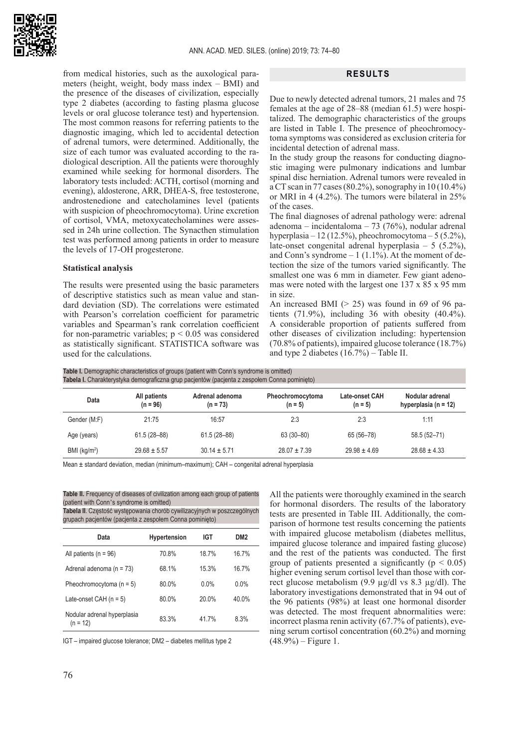

from medical histories, such as the auxological parameters (height, weight, body mass index – BMI) and the presence of the diseases of civilization, especially type 2 diabetes (according to fasting plasma glucose levels or oral glucose tolerance test) and hypertension. The most common reasons for referring patients to the diagnostic imaging, which led to accidental detection of adrenal tumors, were determined. Additionally, the size of each tumor was evaluated according to the radiological description. All the patients were thoroughly examined while seeking for hormonal disorders. The laboratory tests included: ACTH, cortisol (morning and evening), aldosterone, ARR, DHEA-S, free testosterone, androstenedione and catecholamines level (patients with suspicion of pheochromocytoma). Urine excretion of cortisol, VMA, metoxycatecholamines were assessed in 24h urine collection. The Synacthen stimulation test was performed among patients in order to measure the levels of 17-OH progesterone.

#### **Statistical analysis**

The results were presented using the basic parameters of descriptive statistics such as mean value and standard deviation (SD). The correlations were estimated with Pearson's correlation coefficient for parametric variables and Spearman's rank correlation coefficient for non-parametric variables;  $p < 0.05$  was considered as statistically significant. STATISTICA software was used for the calculations.

#### **RESULTS**

Due to newly detected adrenal tumors, 21 males and 75 females at the age of 28–88 (median 61.5) were hospitalized. The demographic characteristics of the groups are listed in Table I. The presence of pheochromocytoma symptoms was considered as exclusion criteria for incidental detection of adrenal mass.

In the study group the reasons for conducting diagnostic imaging were pulmonary indications and lumbar spinal disc herniation. Adrenal tumors were revealed in a CT scan in 77 cases (80.2%), sonography in  $10(10.4\%)$ or MRI in 4 (4.2%). The tumors were bilateral in 25% of the cases.

The final diagnoses of adrenal pathology were: adrenal adenoma – incidentaloma – 73 (76%), nodular adrenal hyperplasia – 12 (12.5%), pheochromocytoma – 5 (5.2%), late*-*onset congenital adrenal hyperplasia – 5 (5.2%), and Conn's syndrome  $-1$  (1.1%). At the moment of detection the size of the tumors varied significantly. The smallest one was 6 mm in diameter. Few giant adenomas were noted with the largest one 137 x 85 x 95 mm in size.

An increased BMI  $(> 25)$  was found in 69 of 96 patients (71.9%), including 36 with obesity (40.4%). A considerable proportion of patients suffered from other diseases of civilization including: hypertension (70.8% of patients), impaired glucose tolerance (18.7%) and type 2 diabetes (16.7%) – Table II.

**Table I.** Demographic characteristics of groups (patient with Conn's syndrome is omitted) **Tabela I.** Charakterystyka demograficzna grup pacjentów (pacjenta z zespołem Conna pominięto)

| Data            | All patients<br>$(n = 96)$ | Adrenal adenoma<br>$(n = 73)$ | Pheochromocytoma<br>$(n = 5)$ | Late-onset CAH<br>$(n = 5)$ | Nodular adrenal<br>hyperplasia ( $n = 12$ ) |  |
|-----------------|----------------------------|-------------------------------|-------------------------------|-----------------------------|---------------------------------------------|--|
| Gender (M:F)    | 21:75                      | 16:57                         | 2:3                           | 2:3                         | 1:11                                        |  |
| Age (years)     | 61.5 (28-88)               | $61.5(28 - 88)$               | 63 (30-80)                    | 65 (56-78)                  | 58.5 (52-71)                                |  |
| BMI ( $kg/m2$ ) | $29.68 \pm 5.57$           | $30.14 \pm 5.71$              | $28.07 \pm 7.39$              | $29.98 \pm 4.69$            | $28.68 \pm 4.33$                            |  |

Mean ± standard deviation, median (minimum–maximum); CAH – congenital adrenal hyperplasia

**Table II.** Frequency of diseases of civilization among each group of patients (patient with Conn's syndrome is omitted)

**Tabela II**. Częstość występowania chorób cywilizacyjnych w poszczególnych grupach pacjentów (pacjenta z zespołem Conna pominięto)

| Data                                      | <b>Hypertension</b> | IGT   | DM <sub>2</sub> |
|-------------------------------------------|---------------------|-------|-----------------|
| All patients ( $n = 96$ )                 | 70.8%               | 18.7% | 16.7%           |
| Adrenal adenoma ( $n = 73$ )              | 68.1%               | 15.3% | 16.7%           |
| Pheochromocytoma $(n = 5)$                | 80.0%               | 0.0%  | $0.0\%$         |
| Late-onset CAH $(n = 5)$                  | 80.0%               | 20.0% | 40.0%           |
| Nodular adrenal hyperplasia<br>$(n = 12)$ | 83.3%               | 417%  | 8.3%            |

IGT – impaired glucose tolerance; DM2 – diabetes mellitus type 2

All the patients were thoroughly examined in the search for hormonal disorders. The results of the laboratory tests are presented in Table III. Additionally, the comparison of hormone test results concerning the patients with impaired glucose metabolism (diabetes mellitus, impaired glucose tolerance and impaired fasting glucose) and the rest of the patients was conducted. The first group of patients presented a significantly ( $p < 0.05$ ) higher evening serum cortisol level than those with correct glucose metabolism  $(9.9 \text{ µg}/\text{dl vs } 8.3 \text{ µg}/\text{dl})$ . The laboratory investigations demonstrated that in 94 out of the 96 patients (98%) at least one hormonal disorder was detected. The most frequent abnormalities were: incorrect plasma renin activity (67.7% of patients), evening serum cortisol concentration (60.2%) and morning  $(48.9\%)$  – Figure 1.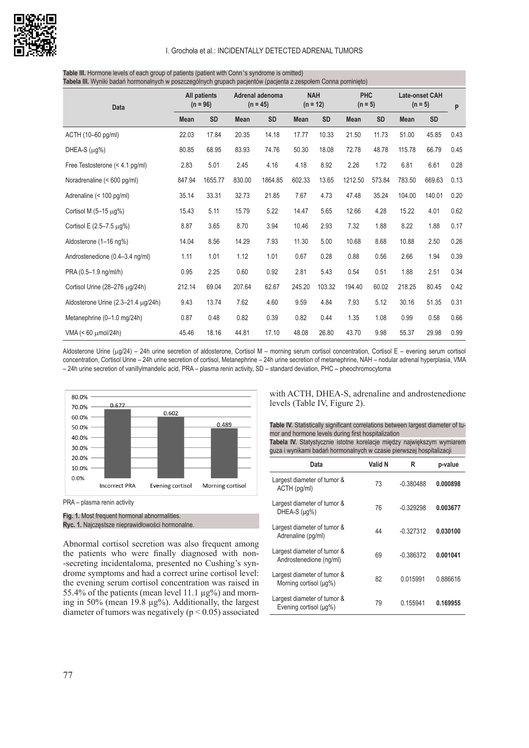

#### I. Grochoła et al.: INCIDENTALLY DETECTED ADRENAL TUMORS

| Tabela III. Wyniki badań hormonalnych w poszczególnych grupach pacjentów (pacjenta z zespołem Conna pominięto) |                            |           |                               |           |                          |           |                         |           |                                    |           |      |
|----------------------------------------------------------------------------------------------------------------|----------------------------|-----------|-------------------------------|-----------|--------------------------|-----------|-------------------------|-----------|------------------------------------|-----------|------|
| <b>Data</b>                                                                                                    | All patients<br>$(n = 96)$ |           | Adrenal adenoma<br>$(n = 45)$ |           | <b>NAH</b><br>$(n = 12)$ |           | <b>PHC</b><br>$(n = 5)$ |           | <b>Late-onset CAH</b><br>$(n = 5)$ |           | P    |
|                                                                                                                | <b>Mean</b>                | <b>SD</b> | <b>Mean</b>                   | <b>SD</b> | <b>Mean</b>              | <b>SD</b> | <b>Mean</b>             | <b>SD</b> | <b>Mean</b>                        | <b>SD</b> |      |
| ACTH (10-60 pg/ml)                                                                                             | 22.03                      | 17.84     | 20.35                         | 14.18     | 17.77                    | 10.33     | 21.50                   | 11.73     | 51.00                              | 45.85     | 0.43 |
| DHEA-S $(\mu q\%)$                                                                                             | 80.85                      | 68.95     | 83.93                         | 74.76     | 50.30                    | 18.08     | 72.78                   | 48.78     | 115.78                             | 66.79     | 0.45 |
| Free Testosterone (< 4.1 pg/ml)                                                                                | 2.83                       | 5.01      | 2.45                          | 4.16      | 4.18                     | 8.92      | 2.26                    | 1.72      | 6.81                               | 6.61      | 0.28 |
| Noradrenaline (< 600 pg/ml)                                                                                    | 847.94                     | 1655.77   | 830.00                        | 1864.85   | 602.33                   | 13.65     | 1212.50                 | 573.84    | 783.50                             | 669.63    | 0.13 |
| Adrenaline (< 100 pg/ml)                                                                                       | 35.14                      | 33.31     | 32.73                         | 21.85     | 7.67                     | 4.73      | 47.48                   | 35.24     | 104.00                             | 140.01    | 0.20 |
| Cortisol M $(5-15 \mu g%)$                                                                                     | 15.43                      | 5.11      | 15.79                         | 5.22      | 14.47                    | 5.65      | 12.66                   | 4.28      | 15.22                              | 4.01      | 0.62 |
| Cortisol E $(2.5 - 7.5 \mu g%)$                                                                                | 8.87                       | 3.65      | 8.70                          | 3.94      | 10.46                    | 2.93      | 7.32                    | 1.88      | 8.22                               | 1.88      | 0.17 |
| Aldosterone (1-16 ng%)                                                                                         | 14.04                      | 8.56      | 14.29                         | 7.93      | 11.30                    | 5.00      | 10.68                   | 8.68      | 10.88                              | 2.50      | 0.26 |
| Androstenedione (0.4-3.4 ng/ml)                                                                                | 1.11                       | 1.01      | 1.12                          | 1.01      | 0.67                     | 0.28      | 0.88                    | 0.56      | 2.66                               | 1.94      | 0.39 |
| PRA (0.5-1.9 ng/ml/h)                                                                                          | 0.95                       | 2.25      | 0.60                          | 0.92      | 2.81                     | 5.43      | 0.54                    | 0.51      | 1.88                               | 2.51      | 0.34 |
| Cortisol Urine (28-276 µg/24h)                                                                                 | 212.14                     | 69.04     | 207.64                        | 62.67     | 245.20                   | 103.32    | 194.40                  | 60.02     | 218.25                             | 80.45     | 0.42 |
| Aldosterone Urine (2.3-21.4 µg/24h)                                                                            | 9.43                       | 13.74     | 7.62                          | 4.60      | 9.59                     | 4.84      | 7.93                    | 5.12      | 30.16                              | 51.35     | 0.31 |
| Metanephrine (0-1.0 mg/24h)                                                                                    | 0.87                       | 0.48      | 0.82                          | 0.39      | 0.82                     | 0.44      | 1.35                    | 1.08      | 0.99                               | 0.58      | 0.66 |
| VMA (< 60 μmol/24h)                                                                                            | 45.46                      | 18.16     | 44.81                         | 17.10     | 48.08                    | 26.80     | 43.70                   | 9.98      | 55.37                              | 29.98     | 0.99 |

# **Table III.** Hormone levels of each group of patients (patient with Conn's syndrome is omitted)

Aldosterone Urine ( $\mu$ g/24) – 24h urine secretion of aldosterone, Cortisol M – morning serum cortisol concentration, Cortisol E – evening serum cortisol concentration, Cortisol Urine – 24h urine secretion of cortisol, Metanephrine – 24h urine secretion of metanephrine, NAH – nodular adrenal hyperplasia, VMA – 24h urine secretion of vanillylmandelic acid, PRA – plasma renin activity, SD – standard deviation, PHC – pheochromocytoma



PRA – plasma renin activity

**Fig. 1.** Most frequent hormonal abnormalities. **Ryc. 1.** Najczęstsze nieprawidłowości hormonalne.

Abnormal cortisol secretion was also frequent among the patients who were finally diagnosed with non- -secreting incidentaloma, presented no Cushing's syndrome symptoms and had a correct urine cortisol level: the evening serum cortisol concentration was raised in 55.4% of the patients (mean level 11.1  $\mu$ g%) and morning in 50% (mean 19.8  $\mu$ g%). Additionally, the largest diameter of tumors was negatively ( $p < 0.05$ ) associated

with ACTH, DHEA-S, adrenaline and androstenedione levels (Table IV, Figure 2).

**Table IV.** Statistically significant correlations between largest diameter of tumor and hormone levels during first hospitalization **Tabela IV.** Statystycznie istotne korelacje między największym wymiarem

| guza i wynikami badań hormonalnych w czasie pierwszej hospitalizacji |         |             |          |  |  |  |
|----------------------------------------------------------------------|---------|-------------|----------|--|--|--|
| Data                                                                 | Valid N | R           | p-value  |  |  |  |
| Largest diameter of tumor &<br>ACTH (pg/ml)                          | 73      | $-0.380488$ | 0.000898 |  |  |  |
| Largest diameter of tumor &<br>DHEA-S (µq%)                          | 76      | $-0.329298$ | 0.003677 |  |  |  |
| Largest diameter of tumor &<br>Adrenaline (pg/ml)                    | 44      | $-0.327312$ | 0.030100 |  |  |  |
| Largest diameter of tumor &<br>Androstenedione (ng/ml)               | 69      | $-0.386372$ | 0.001041 |  |  |  |
| Largest diameter of tumor &<br>Morning cortisol (µq%)                | 82      | 0.015991    | 0.886616 |  |  |  |
| Largest diameter of tumor &<br>Evening cortisol (µq%)                | 79      | 0.155941    | 0.169955 |  |  |  |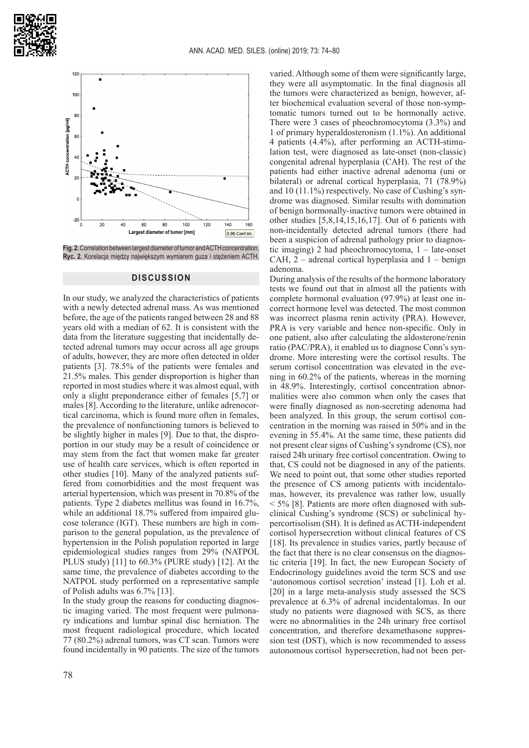



**Fig. 2.** Correlation between largest diameter of tumor and ACTH concentration. **Ryc. 2.** Korelacja między największym wymiarem guza i stężeniem ACTH.

### **DISCUSSION**

In our study, we analyzed the characteristics of patients with a newly detected adrenal mass. As was mentioned before, the age of the patients ranged between 28 and 88 years old with a median of 62. It is consistent with the data from the literature suggesting that incidentally detected adrenal tumors may occur across all age groups of adults, however, they are more often detected in older patients [3]. 78.5% of the patients were females and 21.5% males. This gender disproportion is higher than reported in most studies where it was almost equal, with only a slight preponderance either of females [5,7] or males [8]. According to the literature, unlike adrenocortical carcinoma, which is found more often in females, the prevalence of nonfunctioning tumors is believed to be slightly higher in males [9]. Due to that, the disproportion in our study may be a result of coincidence or may stem from the fact that women make far greater use of health care services, which is often reported in other studies [10]. Many of the analyzed patients suffered from comorbidities and the most frequent was arterial hypertension, which was present in 70.8% of the patients. Type 2 diabetes mellitus was found in 16.7%, while an additional 18.7% suffered from impaired glucose tolerance (IGT). These numbers are high in comparison to the general population, as the prevalence of hypertension in the Polish population reported in large epidemiological studies ranges from 29% (NATPOL PLUS study) [11] to 60.3% (PURE study) [12]. At the same time, the prevalence of diabetes according to the NATPOL study performed on a representative sample of Polish adults was 6.7% [13].

In the study group the reasons for conducting diagnostic imaging varied. The most frequent were pulmonary indications and lumbar spinal disc herniation. The most frequent radiological procedure, which located 77 (80.2%) adrenal tumors, was CT scan. Tumors were found incidentally in 90 patients. The size of the tumors varied. Although some of them were significantly large, they were all asymptomatic. In the final diagnosis all the tumors were characterized as benign, however, after biochemical evaluation several of those non-symptomatic tumors turned out to be hormonally active. There were 3 cases of pheochromocytoma (3.3%) and 1 of primary hyperaldosteronism (1.1%). An additional 4 patients (4.4%), after performing an ACTH-stimulation test, were diagnosed as late-onset (non-classic) congenital adrenal hyperplasia (CAH). The rest of the patients had either inactive adrenal adenoma (uni or bilateral) or adrenal cortical hyperplasia, 71 (78.9%) and 10 (11.1%) respectively. No case of Cushing's syndrome was diagnosed. Similar results with domination of benign hormonally-inactive tumors were obtained in other studies [5,8,14,15,16,17]. Out of 6 patients with non-incidentally detected adrenal tumors (there had been a suspicion of adrenal pathology prior to diagnostic imaging) 2 had pheochromocytoma, 1 – late-onset CAH,  $2$  – adrenal cortical hyperplasia and  $1$  – benign adenoma.

During analysis of the results of the hormone laboratory tests we found out that in almost all the patients with complete hormonal evaluation (97.9%) at least one incorrect hormone level was detected. The most common was incorrect plasma renin activity (PRA). However, PRA is very variable and hence non-specific. Only in one patient, also after calculating the aldosterone/renin ratio (PAC/PRA), it enabled us to diagnose Conn's syndrome. More interesting were the cortisol results. The serum cortisol concentration was elevated in the evening in 60.2% of the patients, whereas in the morning in 48.9%. Interestingly, cortisol concentration abnormalities were also common when only the cases that were finally diagnosed as non-secreting adenoma had been analyzed. In this group, the serum cortisol concentration in the morning was raised in 50% and in the evening in 55.4%. At the same time, these patients did not present clear signs of Cushing's syndrome (CS), nor raised 24h urinary free cortisol concentration. Owing to that, CS could not be diagnosed in any of the patients. We need to point out, that some other studies reported the presence of CS among patients with incidentalomas, however, its prevalence was rather low, usually < 5% [8]. Patients are more often diagnosed with subclinical Cushing's syndrome (SCS) or subclinical hypercortisolism (SH). It is defined as ACTH-independent cortisol hypersecretion without clinical features of CS [18]. Its prevalence in studies varies, partly because of the fact that there is no clear consensus on the diagnostic criteria [19]. In fact, the new European Society of Endocrinology guidelines avoid the term SCS and use 'autonomous cortisol secretion' instead [1]. Loh et al. [20] in a large meta-analysis study assessed the SCS prevalence at 6.3% of adrenal incidentalomas. In our study no patients were diagnosed with SCS, as there were no abnormalities in the 24h urinary free cortisol concentration, and therefore dexamethasone suppression test (DST), which is now recommended to assess autonomous cortisol hypersecretion, had not been per-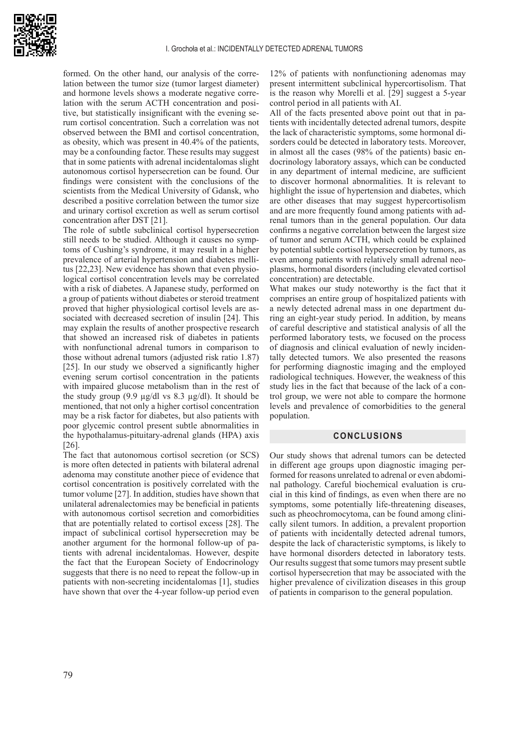

formed. On the other hand, our analysis of the correlation between the tumor size (tumor largest diameter) and hormone levels shows a moderate negative correlation with the serum ACTH concentration and positive, but statistically insignificant with the evening serum cortisol concentration. Such a correlation was not observed between the BMI and cortisol concentration, as obesity, which was present in 40.4% of the patients, may be a confounding factor. These results may suggest that in some patients with adrenal incidentalomas slight autonomous cortisol hypersecretion can be found. Our findings were consistent with the conclusions of the scientists from the Medical University of Gdansk, who described a positive correlation between the tumor size and urinary cortisol excretion as well as serum cortisol concentration after DST [21].

The role of subtle subclinical cortisol hypersecretion still needs to be studied. Although it causes no symptoms of Cushing's syndrome, it may result in a higher prevalence of arterial hypertension and diabetes mellitus [22,23]. New evidence has shown that even physiological cortisol concentration levels may be correlated with a risk of diabetes. A Japanese study, performed on a group of patients without diabetes or steroid treatment proved that higher physiological cortisol levels are associated with decreased secretion of insulin [24]. This may explain the results of another prospective research that showed an increased risk of diabetes in patients with nonfunctional adrenal tumors in comparison to those without adrenal tumors (adjusted risk ratio 1.87) [25]. In our study we observed a significantly higher evening serum cortisol concentration in the patients with impaired glucose metabolism than in the rest of the study group (9.9 µg/dl vs 8.3 µg/dl). It should be mentioned, that not only a higher cortisol concentration may be a risk factor for diabetes, but also patients with poor glycemic control present subtle abnormalities in the hypothalamus-pituitary-adrenal glands (HPA) axis [26].

The fact that autonomous cortisol secretion (or SCS) is more often detected in patients with bilateral adrenal adenoma may constitute another piece of evidence that cortisol concentration is positively correlated with the tumor volume [27]. In addition, studies have shown that unilateral adrenalectomies may be beneficial in patients with autonomous cortisol secretion and comorbidities that are potentially related to cortisol excess [28]. The impact of subclinical cortisol hypersecretion may be another argument for the hormonal follow-up of patients with adrenal incidentalomas. However, despite the fact that the European Society of Endocrinology suggests that there is no need to repeat the follow-up in patients with non-secreting incidentalomas [1], studies have shown that over the 4-year follow-up period even

12% of patients with nonfunctioning adenomas may present intermittent subclinical hypercortisolism. That is the reason why Morelli et al. [29] suggest a 5-year control period in all patients with AI.

All of the facts presented above point out that in patients with incidentally detected adrenal tumors, despite the lack of characteristic symptoms, some hormonal disorders could be detected in laboratory tests. Moreover, in almost all the cases (98% of the patients) basic endocrinology laboratory assays, which can be conducted in any department of internal medicine, are sufficient to discover hormonal abnormalities. It is relevant to highlight the issue of hypertension and diabetes, which are other diseases that may suggest hypercortisolism and are more frequently found among patients with adrenal tumors than in the general population. Our data confirms a negative correlation between the largest size of tumor and serum ACTH, which could be explained by potential subtle cortisol hypersecretion by tumors, as even among patients with relatively small adrenal neoplasms, hormonal disorders (including elevated cortisol concentration) are detectable.

What makes our study noteworthy is the fact that it comprises an entire group of hospitalized patients with a newly detected adrenal mass in one department during an eight-year study period. In addition, by means of careful descriptive and statistical analysis of all the performed laboratory tests, we focused on the process of diagnosis and clinical evaluation of newly incidentally detected tumors. We also presented the reasons for performing diagnostic imaging and the employed radiological techniques. However, the weakness of this study lies in the fact that because of the lack of a control group, we were not able to compare the hormone levels and prevalence of comorbidities to the general population.

## **CONCLUSIONS**

Our study shows that adrenal tumors can be detected in different age groups upon diagnostic imaging performed for reasons unrelated to adrenal or even abdominal pathology. Careful biochemical evaluation is crucial in this kind of findings, as even when there are no symptoms, some potentially life-threatening diseases, such as pheochromocytoma, can be found among clinically silent tumors. In addition, a prevalent proportion of patients with incidentally detected adrenal tumors, despite the lack of characteristic symptoms, is likely to have hormonal disorders detected in laboratory tests. Our results suggest that some tumors may present subtle cortisol hypersecretion that may be associated with the higher prevalence of civilization diseases in this group of patients in comparison to the general population.